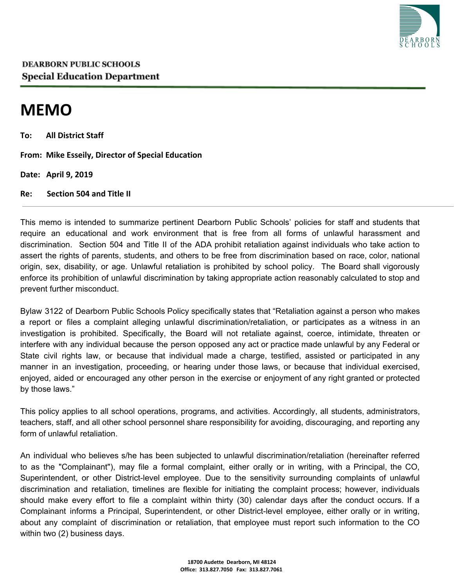

## **MEMO**

**To: All District Staff**

**From: Mike Esseily, Director of Special Education**

**Date: April 9, 2019**

**Re: Section 504 and Title II**

This memo is intended to summarize pertinent Dearborn Public Schools' policies for staff and students that require an educational and work environment that is free from all forms of unlawful harassment and discrimination. Section 504 and Title II of the ADA prohibit retaliation against individuals who take action to assert the rights of parents, students, and others to be free from discrimination based on race, color, national origin, sex, disability, or age. Unlawful retaliation is prohibited by school policy. The Board shall vigorously enforce its prohibition of unlawful discrimination by taking appropriate action reasonably calculated to stop and prevent further misconduct.

Bylaw 3122 of Dearborn Public Schools Policy specifically states that "Retaliation against a person who makes a report or files a complaint alleging unlawful discrimination/retaliation, or participates as a witness in an investigation is prohibited. Specifically, the Board will not retaliate against, coerce, intimidate, threaten or interfere with any individual because the person opposed any act or practice made unlawful by any Federal or State civil rights law, or because that individual made a charge, testified, assisted or participated in any manner in an investigation, proceeding, or hearing under those laws, or because that individual exercised, enjoyed, aided or encouraged any other person in the exercise or enjoyment of any right granted or protected by those laws."

This policy applies to all school operations, programs, and activities. Accordingly, all students, administrators, teachers, staff, and all other school personnel share responsibility for avoiding, discouraging, and reporting any form of unlawful retaliation.

An individual who believes s/he has been subjected to unlawful discrimination/retaliation (hereinafter referred to as the "Complainant"), may file a formal complaint, either orally or in writing, with a Principal, the CO, Superintendent, or other District-level employee. Due to the sensitivity surrounding complaints of unlawful discrimination and retaliation, timelines are flexible for initiating the complaint process; however, individuals should make every effort to file a complaint within thirty (30) calendar days after the conduct occurs. If a Complainant informs a Principal, Superintendent, or other District-level employee, either orally or in writing, about any complaint of discrimination or retaliation, that employee must report such information to the CO within two (2) business days.